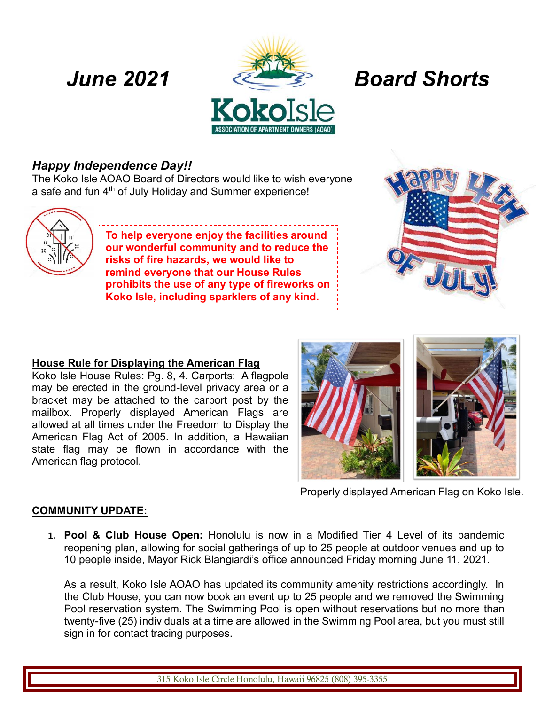

# *Happy Independence Day!!*

The Koko Isle AOAO Board of Directors would like to wish everyone a safe and fun  $4<sup>th</sup>$  of July Holiday and Summer experience!



**To help everyone enjoy the facilities around our wonderful community and to reduce the risks of fire hazards, we would like to remind everyone that our House Rules prohibits the use of any type of fireworks on Koko Isle, including sparklers of any kind.**



## **House Rule for Displaying the American Flag**

Koko Isle House Rules: Pg. 8, 4. Carports: A flagpole may be erected in the ground-level privacy area or a bracket may be attached to the carport post by the mailbox. Properly displayed American Flags are allowed at all times under the Freedom to Display the American Flag Act of 2005. In addition, a Hawaiian state flag may be flown in accordance with the American flag protocol.



Properly displayed American Flag on Koko Isle.

## **COMMUNITY UPDATE:**

**1. Pool & Club House Open:** Honolulu is now in a Modified Tier 4 Level of its pandemic reopening plan, allowing for social gatherings of up to 25 people at outdoor venues and up to 10 people inside, Mayor Rick Blangiardi's office announced Friday morning June 11, 2021.

As a result, Koko Isle AOAO has updated its community amenity restrictions accordingly. In the Club House, you can now book an event up to 25 people and we removed the Swimming Pool reservation system. The Swimming Pool is open without reservations but no more than twenty-five (25) individuals at a time are allowed in the Swimming Pool area, but you must still sign in for contact tracing purposes.